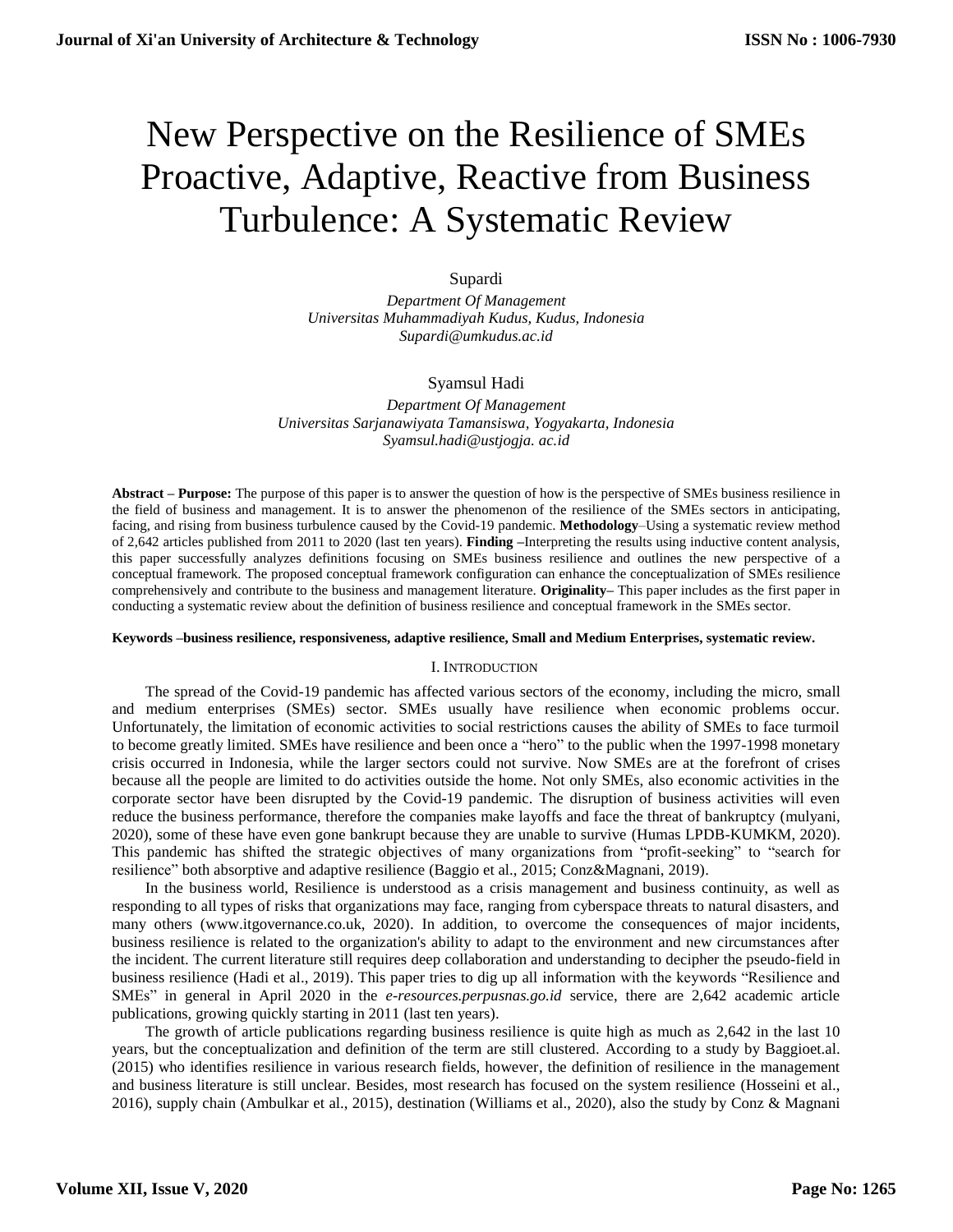# New Perspective on the Resilience of SMEs Proactive, Adaptive, Reactive from Business Turbulence: A Systematic Review

# Supardi

*Department Of Management Universitas Muhammadiyah Kudus, Kudus, Indonesia Supardi@umkudus.ac.id*

# Syamsul Hadi

*Department Of Management Universitas Sarjanawiyata Tamansiswa, Yogyakarta, Indonesia Syamsul.hadi@ustjogja. ac.id*

**Abstract – Purpose:** The purpose of this paper is to answer the question of how is the perspective of SMEs business resilience in the field of business and management. It is to answer the phenomenon of the resilience of the SMEs sectors in anticipating, facing, and rising from business turbulence caused by the Covid-19 pandemic. **Methodology**–Using a systematic review method of 2,642 articles published from 2011 to 2020 (last ten years). **Finding –**Interpreting the results using inductive content analysis, this paper successfully analyzes definitions focusing on SMEs business resilience and outlines the new perspective of a conceptual framework. The proposed conceptual framework configuration can enhance the conceptualization of SMEs resilience comprehensively and contribute to the business and management literature. **Originality–** This paper includes as the first paper in conducting a systematic review about the definition of business resilience and conceptual framework in the SMEs sector.

## **Keywords –business resilience, responsiveness, adaptive resilience, Small and Medium Enterprises, systematic review.**

# I. INTRODUCTION

The spread of the Covid-19 pandemic has affected various sectors of the economy, including the micro, small and medium enterprises (SMEs) sector. SMEs usually have resilience when economic problems occur. Unfortunately, the limitation of economic activities to social restrictions causes the ability of SMEs to face turmoil to become greatly limited. SMEs have resilience and been once a "hero" to the public when the 1997-1998 monetary crisis occurred in Indonesia, while the larger sectors could not survive. Now SMEs are at the forefront of crises because all the people are limited to do activities outside the home. Not only SMEs, also economic activities in the corporate sector have been disrupted by the Covid-19 pandemic. The disruption of business activities will even reduce the business performance, therefore the companies make layoffs and face the threat of bankruptcy (mulyani, 2020), some of these have even gone bankrupt because they are unable to survive (Humas LPDB-KUMKM, 2020). This pandemic has shifted the strategic objectives of many organizations from "profit-seeking" to "search for resilience" both absorptive and adaptive resilience (Baggio et al., 2015; Conz&Magnani, 2019).

In the business world, Resilience is understood as a crisis management and business continuity, as well as responding to all types of risks that organizations may face, ranging from cyberspace threats to natural disasters, and many others (www.itgovernance.co.uk, 2020). In addition, to overcome the consequences of major incidents, business resilience is related to the organization's ability to adapt to the environment and new circumstances after the incident. The current literature still requires deep collaboration and understanding to decipher the pseudo-field in business resilience (Hadi et al., 2019). This paper tries to dig up all information with the keywords "Resilience and SMEs" in general in April 2020 in the *e-resources.perpusnas.go.id* service, there are 2,642 academic article publications, growing quickly starting in 2011 (last ten years).

The growth of article publications regarding business resilience is quite high as much as 2,642 in the last 10 years, but the conceptualization and definition of the term are still clustered. According to a study by Baggioet.al. (2015) who identifies resilience in various research fields, however, the definition of resilience in the management and business literature is still unclear. Besides, most research has focused on the system resilience (Hosseini et al., 2016), supply chain (Ambulkar et al., 2015), destination (Williams et al., 2020), also the study by Conz & Magnani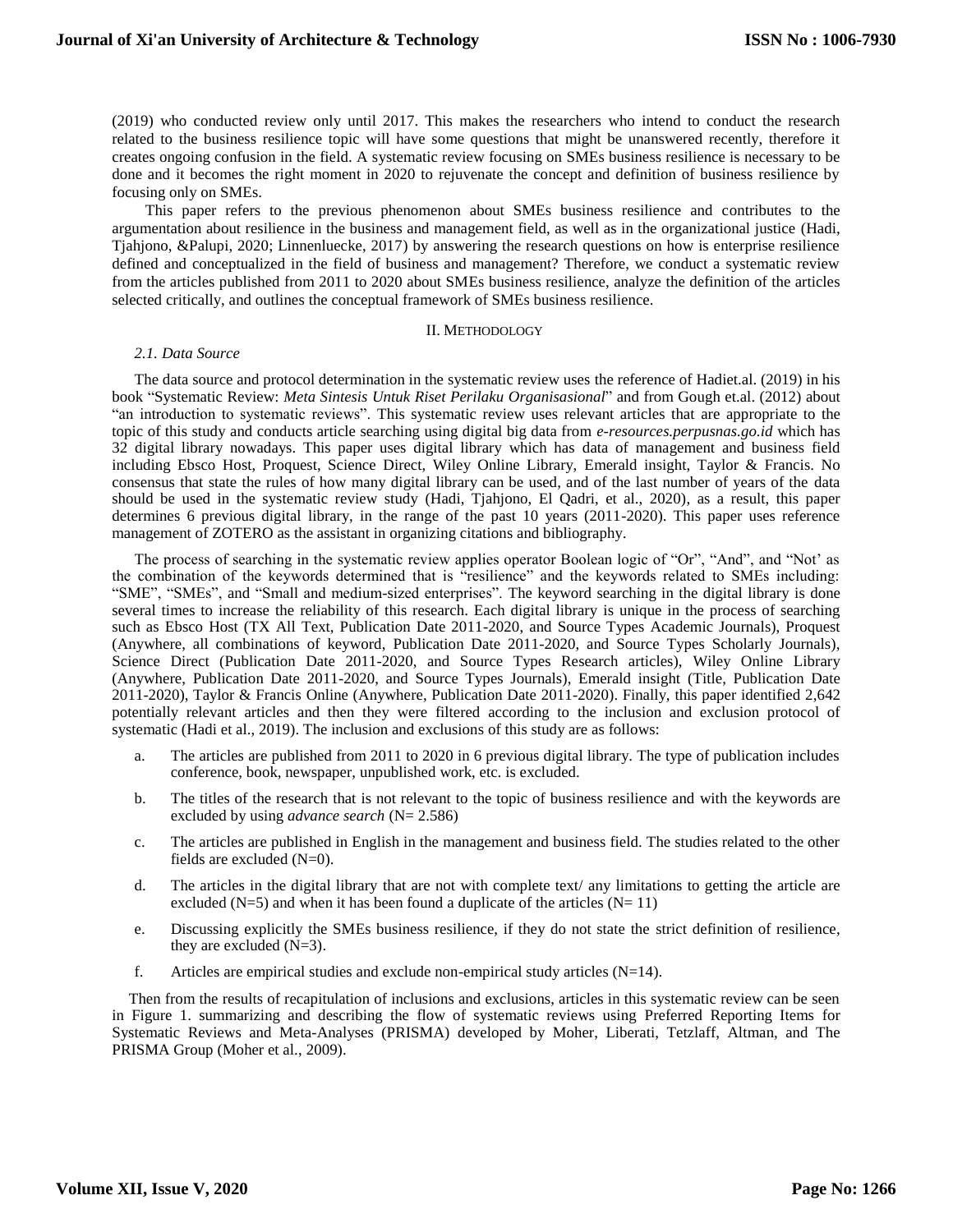(2019) who conducted review only until 2017. This makes the researchers who intend to conduct the research related to the business resilience topic will have some questions that might be unanswered recently, therefore it creates ongoing confusion in the field. A systematic review focusing on SMEs business resilience is necessary to be done and it becomes the right moment in 2020 to rejuvenate the concept and definition of business resilience by focusing only on SMEs.

This paper refers to the previous phenomenon about SMEs business resilience and contributes to the argumentation about resilience in the business and management field, as well as in the organizational justice (Hadi, Tjahjono, &Palupi, 2020; Linnenluecke, 2017) by answering the research questions on how is enterprise resilience defined and conceptualized in the field of business and management? Therefore, we conduct a systematic review from the articles published from 2011 to 2020 about SMEs business resilience, analyze the definition of the articles selected critically, and outlines the conceptual framework of SMEs business resilience.

### II. METHODOLOGY

#### *2.1. Data Source*

The data source and protocol determination in the systematic review uses the reference of Hadiet.al. (2019) in his book "Systematic Review: *Meta Sintesis Untuk Riset Perilaku Organisasional*" and from Gough et.al. (2012) about "an introduction to systematic reviews". This systematic review uses relevant articles that are appropriate to the topic of this study and conducts article searching using digital big data from *e-resources.perpusnas.go.id* which has 32 digital library nowadays. This paper uses digital library which has data of management and business field including Ebsco Host, Proquest, Science Direct, Wiley Online Library, Emerald insight, Taylor & Francis. No consensus that state the rules of how many digital library can be used, and of the last number of years of the data should be used in the systematic review study (Hadi, Tjahjono, El Qadri, et al., 2020), as a result, this paper determines 6 previous digital library, in the range of the past 10 years (2011-2020). This paper uses reference management of ZOTERO as the assistant in organizing citations and bibliography.

The process of searching in the systematic review applies operator Boolean logic of "Or", "And", and "Not' as the combination of the keywords determined that is "resilience" and the keywords related to SMEs including: "SME", "SMEs", and "Small and medium-sized enterprises". The keyword searching in the digital library is done several times to increase the reliability of this research. Each digital library is unique in the process of searching such as Ebsco Host (TX All Text, Publication Date 2011-2020, and Source Types Academic Journals), Proquest (Anywhere, all combinations of keyword, Publication Date 2011-2020, and Source Types Scholarly Journals), Science Direct (Publication Date 2011-2020, and Source Types Research articles), Wiley Online Library (Anywhere, Publication Date 2011-2020, and Source Types Journals), Emerald insight (Title, Publication Date 2011-2020), Taylor & Francis Online (Anywhere, Publication Date 2011-2020). Finally, this paper identified 2,642 potentially relevant articles and then they were filtered according to the inclusion and exclusion protocol of systematic (Hadi et al., 2019). The inclusion and exclusions of this study are as follows:

- a. The articles are published from 2011 to 2020 in 6 previous digital library. The type of publication includes conference, book, newspaper, unpublished work, etc. is excluded.
- b. The titles of the research that is not relevant to the topic of business resilience and with the keywords are excluded by using *advance search* (N= 2.586)
- c. The articles are published in English in the management and business field. The studies related to the other fields are excluded (N=0).
- d. The articles in the digital library that are not with complete text/ any limitations to getting the article are excluded ( $N=5$ ) and when it has been found a duplicate of the articles ( $N=11$ )
- e. Discussing explicitly the SMEs business resilience, if they do not state the strict definition of resilience, they are excluded  $(N=3)$ .
- f. Articles are empirical studies and exclude non-empirical study articles  $(N=14)$ .

Then from the results of recapitulation of inclusions and exclusions, articles in this systematic review can be seen in Figure 1. summarizing and describing the flow of systematic reviews using Preferred Reporting Items for Systematic Reviews and Meta-Analyses (PRISMA) developed by Moher, Liberati, Tetzlaff, Altman, and The PRISMA Group (Moher et al., 2009).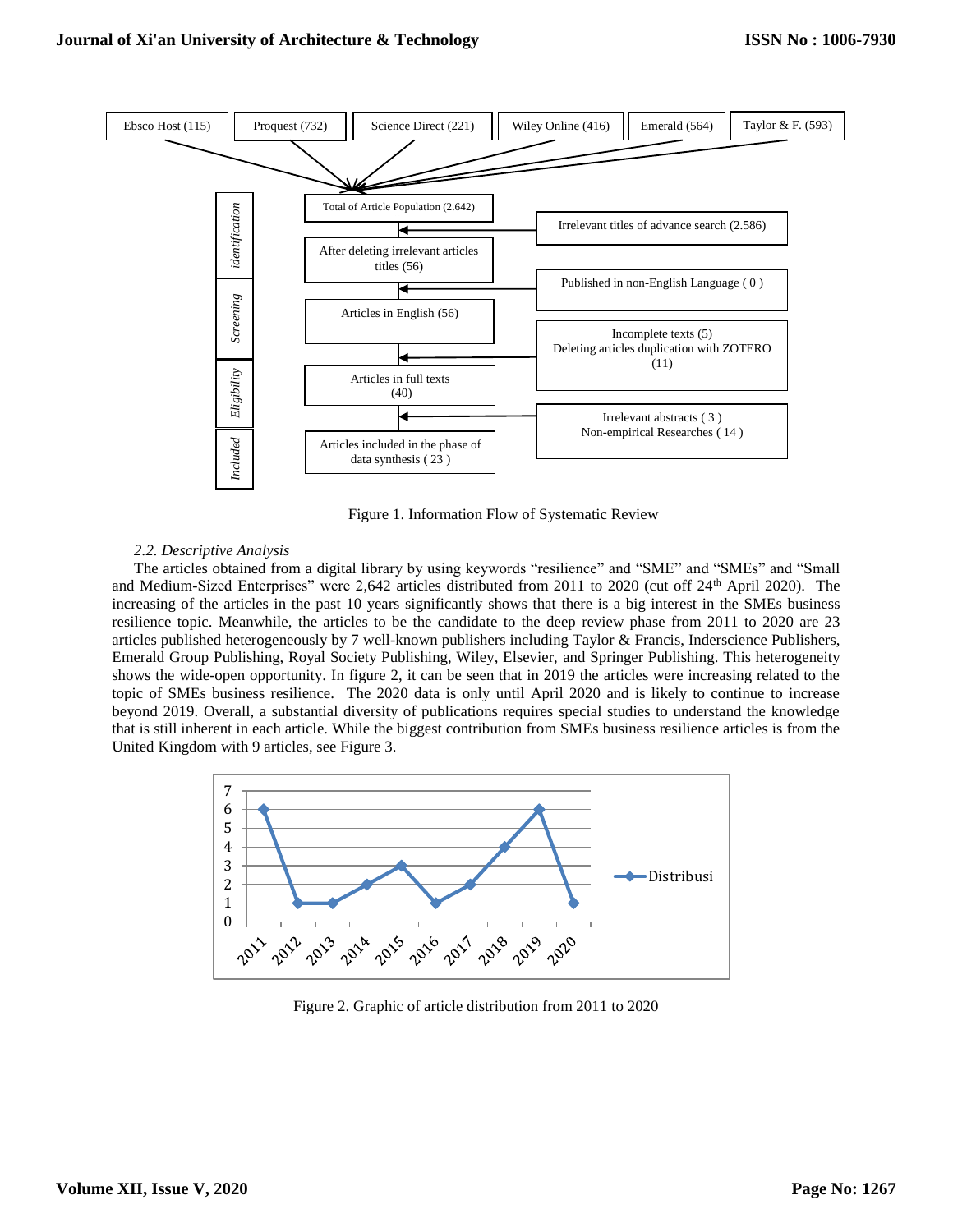

Figure 1. Information Flow of Systematic Review

## *2.2. Descriptive Analysis*

The articles obtained from a digital library by using keywords "resilience" and "SME" and "SMEs" and "Small and Medium-Sized Enterprises" were 2,642 articles distributed from 2011 to 2020 (cut off 24th April 2020). The increasing of the articles in the past 10 years significantly shows that there is a big interest in the SMEs business resilience topic. Meanwhile, the articles to be the candidate to the deep review phase from 2011 to 2020 are 23 articles published heterogeneously by 7 well-known publishers including Taylor & Francis, Inderscience Publishers, Emerald Group Publishing, Royal Society Publishing, Wiley, Elsevier, and Springer Publishing. This heterogeneity shows the wide-open opportunity. In figure 2, it can be seen that in 2019 the articles were increasing related to the topic of SMEs business resilience. The 2020 data is only until April 2020 and is likely to continue to increase beyond 2019. Overall, a substantial diversity of publications requires special studies to understand the knowledge that is still inherent in each article. While the biggest contribution from SMEs business resilience articles is from the United Kingdom with 9 articles, see Figure 3.



Figure 2. Graphic of article distribution from 2011 to 2020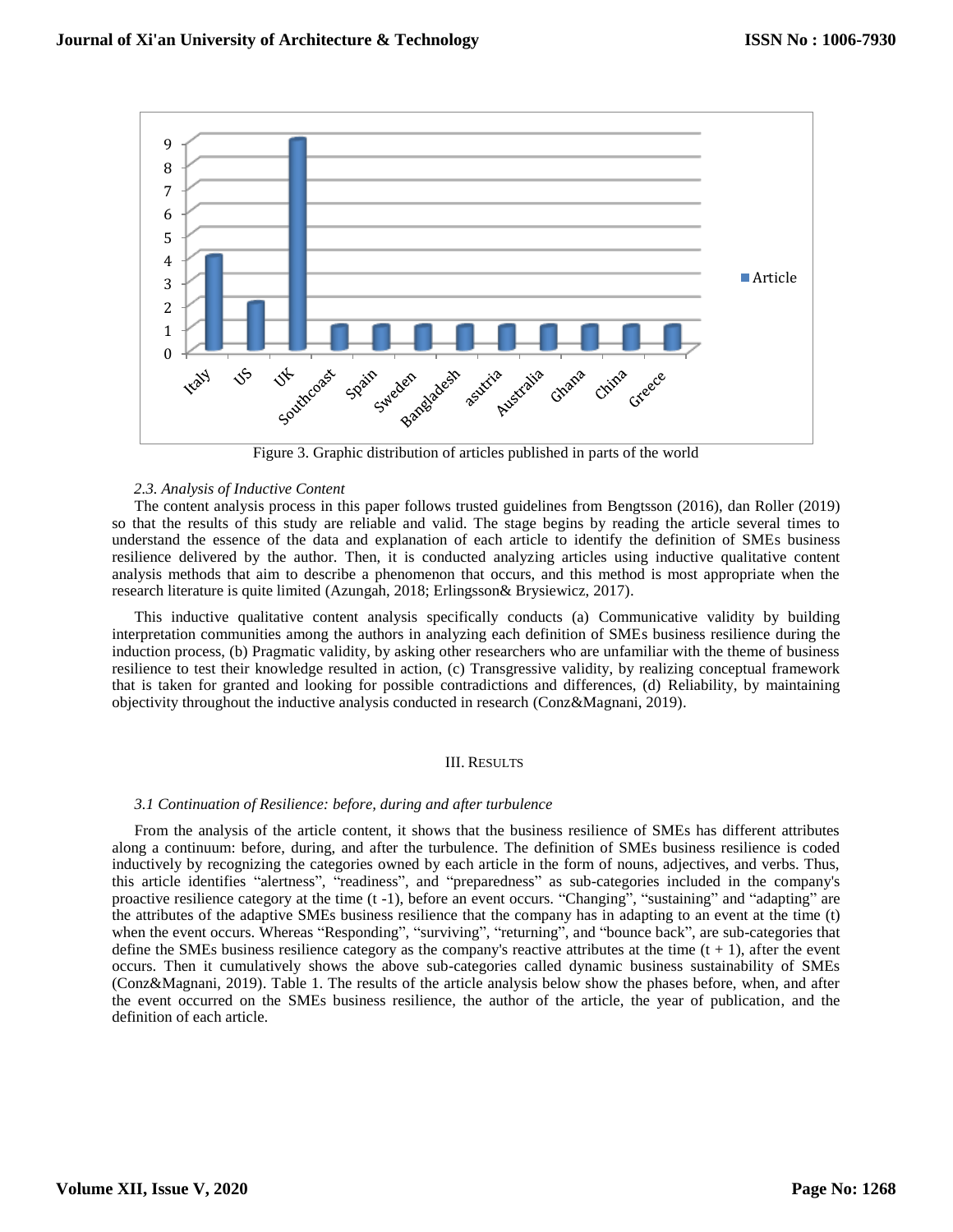

Figure 3. Graphic distribution of articles published in parts of the world

## *2.3. Analysis of Inductive Content*

The content analysis process in this paper follows trusted guidelines from Bengtsson (2016), dan Roller (2019) so that the results of this study are reliable and valid. The stage begins by reading the article several times to understand the essence of the data and explanation of each article to identify the definition of SMEs business resilience delivered by the author. Then, it is conducted analyzing articles using inductive qualitative content analysis methods that aim to describe a phenomenon that occurs, and this method is most appropriate when the research literature is quite limited (Azungah, 2018; Erlingsson& Brysiewicz, 2017).

This inductive qualitative content analysis specifically conducts (a) Communicative validity by building interpretation communities among the authors in analyzing each definition of SMEs business resilience during the induction process, (b) Pragmatic validity, by asking other researchers who are unfamiliar with the theme of business resilience to test their knowledge resulted in action, (c) Transgressive validity, by realizing conceptual framework that is taken for granted and looking for possible contradictions and differences, (d) Reliability, by maintaining objectivity throughout the inductive analysis conducted in research (Conz&Magnani, 2019).

## III. RESULTS

## *3.1 Continuation of Resilience: before, during and after turbulence*

From the analysis of the article content, it shows that the business resilience of SMEs has different attributes along a continuum: before, during, and after the turbulence. The definition of SMEs business resilience is coded inductively by recognizing the categories owned by each article in the form of nouns, adjectives, and verbs. Thus, this article identifies "alertness", "readiness", and "preparedness" as sub-categories included in the company's proactive resilience category at the time (t -1), before an event occurs. "Changing", "sustaining" and "adapting" are the attributes of the adaptive SMEs business resilience that the company has in adapting to an event at the time (t) when the event occurs. Whereas "Responding", "surviving", "returning", and "bounce back", are sub-categories that define the SMEs business resilience category as the company's reactive attributes at the time  $(t + 1)$ , after the event occurs. Then it cumulatively shows the above sub-categories called dynamic business sustainability of SMEs (Conz&Magnani, 2019). Table 1. The results of the article analysis below show the phases before, when, and after the event occurred on the SMEs business resilience, the author of the article, the year of publication, and the definition of each article.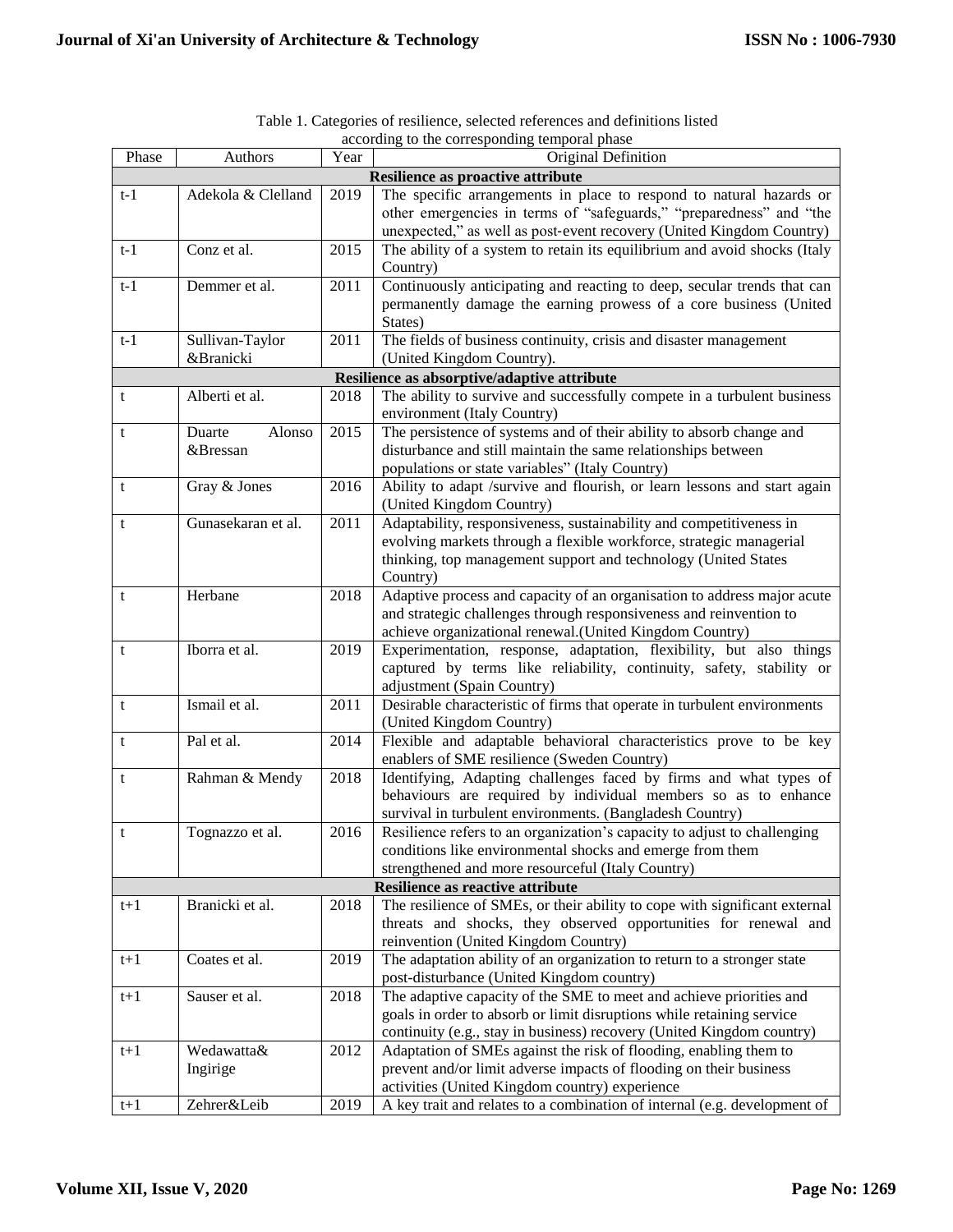| Phase                                       | Authors            | Year | Original Definition                                                                                              |  |  |
|---------------------------------------------|--------------------|------|------------------------------------------------------------------------------------------------------------------|--|--|
| Resilience as proactive attribute           |                    |      |                                                                                                                  |  |  |
| $t-1$                                       | Adekola & Clelland | 2019 | The specific arrangements in place to respond to natural hazards or                                              |  |  |
|                                             |                    |      | other emergencies in terms of "safeguards," "preparedness" and "the                                              |  |  |
|                                             |                    |      | unexpected," as well as post-event recovery (United Kingdom Country)                                             |  |  |
| $t-1$                                       | Conz et al.        | 2015 | The ability of a system to retain its equilibrium and avoid shocks (Italy                                        |  |  |
|                                             |                    |      | Country)                                                                                                         |  |  |
| $t-1$                                       | Demmer et al.      | 2011 | Continuously anticipating and reacting to deep, secular trends that can                                          |  |  |
|                                             |                    |      | permanently damage the earning prowess of a core business (United                                                |  |  |
|                                             |                    |      | States)                                                                                                          |  |  |
| $t-1$                                       | Sullivan-Taylor    | 2011 | The fields of business continuity, crisis and disaster management                                                |  |  |
|                                             | &Branicki          |      | (United Kingdom Country).                                                                                        |  |  |
| Resilience as absorptive/adaptive attribute |                    |      |                                                                                                                  |  |  |
| t                                           | Alberti et al.     | 2018 | The ability to survive and successfully compete in a turbulent business                                          |  |  |
|                                             |                    |      | environment (Italy Country)                                                                                      |  |  |
| t                                           | Alonso<br>Duarte   | 2015 | The persistence of systems and of their ability to absorb change and                                             |  |  |
|                                             | &Bressan           |      | disturbance and still maintain the same relationships between                                                    |  |  |
|                                             |                    |      | populations or state variables" (Italy Country)                                                                  |  |  |
| t                                           | Gray & Jones       | 2016 | Ability to adapt /survive and flourish, or learn lessons and start again                                         |  |  |
|                                             |                    |      | (United Kingdom Country)                                                                                         |  |  |
| t                                           | Gunasekaran et al. | 2011 | Adaptability, responsiveness, sustainability and competitiveness in                                              |  |  |
|                                             |                    |      | evolving markets through a flexible workforce, strategic managerial                                              |  |  |
|                                             |                    |      | thinking, top management support and technology (United States                                                   |  |  |
|                                             |                    |      | Country)                                                                                                         |  |  |
| t                                           | Herbane            | 2018 | Adaptive process and capacity of an organisation to address major acute                                          |  |  |
|                                             |                    |      | and strategic challenges through responsiveness and reinvention to                                               |  |  |
|                                             |                    |      | achieve organizational renewal.(United Kingdom Country)                                                          |  |  |
| t                                           | Iborra et al.      | 2019 | Experimentation, response, adaptation, flexibility, but also things                                              |  |  |
|                                             |                    |      | captured by terms like reliability, continuity, safety, stability or                                             |  |  |
|                                             |                    |      | adjustment (Spain Country)                                                                                       |  |  |
| t                                           | Ismail et al.      | 2011 | Desirable characteristic of firms that operate in turbulent environments                                         |  |  |
|                                             |                    |      | (United Kingdom Country)                                                                                         |  |  |
| t                                           | Pal et al.         | 2014 | Flexible and adaptable behavioral characteristics prove to be key<br>enablers of SME resilience (Sweden Country) |  |  |
| t                                           | Rahman & Mendy     | 2018 | Identifying, Adapting challenges faced by firms and what types of                                                |  |  |
|                                             |                    |      | behaviours are required by individual members so as to enhance                                                   |  |  |
|                                             |                    |      | survival in turbulent environments. (Bangladesh Country)                                                         |  |  |
| t                                           | Tognazzo et al.    | 2016 | Resilience refers to an organization's capacity to adjust to challenging                                         |  |  |
|                                             |                    |      | conditions like environmental shocks and emerge from them                                                        |  |  |
|                                             |                    |      | strengthened and more resourceful (Italy Country)                                                                |  |  |
| <b>Resilience as reactive attribute</b>     |                    |      |                                                                                                                  |  |  |
| $t+1$                                       | Branicki et al.    | 2018 | The resilience of SMEs, or their ability to cope with significant external                                       |  |  |
|                                             |                    |      | threats and shocks, they observed opportunities for renewal and                                                  |  |  |
|                                             |                    |      | reinvention (United Kingdom Country)                                                                             |  |  |
| $t+1$                                       | Coates et al.      | 2019 | The adaptation ability of an organization to return to a stronger state                                          |  |  |
|                                             |                    |      | post-disturbance (United Kingdom country)                                                                        |  |  |
| $t+1$                                       | Sauser et al.      | 2018 | The adaptive capacity of the SME to meet and achieve priorities and                                              |  |  |
|                                             |                    |      | goals in order to absorb or limit disruptions while retaining service                                            |  |  |
|                                             |                    |      | continuity (e.g., stay in business) recovery (United Kingdom country)                                            |  |  |
| $t+1$                                       | Wedawatta&         | 2012 | Adaptation of SMEs against the risk of flooding, enabling them to                                                |  |  |
|                                             | Ingirige           |      | prevent and/or limit adverse impacts of flooding on their business                                               |  |  |
|                                             |                    |      | activities (United Kingdom country) experience                                                                   |  |  |
| $t+1$                                       | Zehrer&Leib        | 2019 | A key trait and relates to a combination of internal (e.g. development of                                        |  |  |

Table 1. Categories of resilience, selected references and definitions listed according to the corresponding temporal phase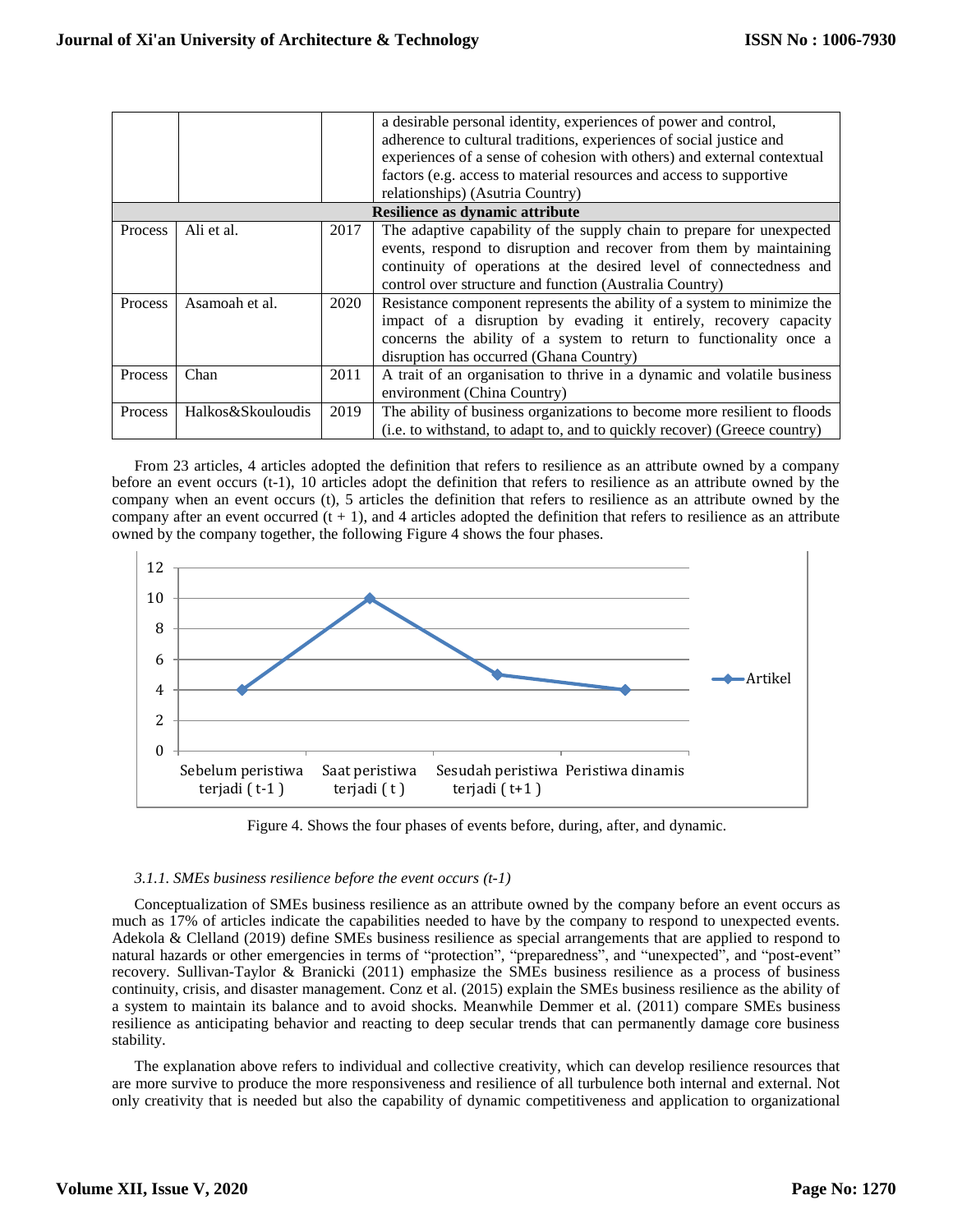|                                 |                   |      | a desirable personal identity, experiences of power and control,<br>adherence to cultural traditions, experiences of social justice and<br>experiences of a sense of cohesion with others) and external contextual<br>factors (e.g. access to material resources and access to supportive<br>relationships) (Asutria Country) |  |  |
|---------------------------------|-------------------|------|-------------------------------------------------------------------------------------------------------------------------------------------------------------------------------------------------------------------------------------------------------------------------------------------------------------------------------|--|--|
| Resilience as dynamic attribute |                   |      |                                                                                                                                                                                                                                                                                                                               |  |  |
| <b>Process</b>                  | Ali et al.        | 2017 | The adaptive capability of the supply chain to prepare for unexpected<br>events, respond to disruption and recover from them by maintaining<br>continuity of operations at the desired level of connectedness and<br>control over structure and function (Australia Country)                                                  |  |  |
| <b>Process</b>                  | Asamoah et al.    | 2020 | Resistance component represents the ability of a system to minimize the<br>impact of a disruption by evading it entirely, recovery capacity<br>concerns the ability of a system to return to functionality once a<br>disruption has occurred (Ghana Country)                                                                  |  |  |
| Process                         | Chan              | 2011 | A trait of an organisation to thrive in a dynamic and volatile business<br>environment (China Country)                                                                                                                                                                                                                        |  |  |
| <b>Process</b>                  | Halkos&Skouloudis | 2019 | The ability of business organizations to become more resilient to floods<br>(i.e. to withstand, to adapt to, and to quickly recover) (Greece country)                                                                                                                                                                         |  |  |

From 23 articles, 4 articles adopted the definition that refers to resilience as an attribute owned by a company before an event occurs (t-1), 10 articles adopt the definition that refers to resilience as an attribute owned by the company when an event occurs (t), 5 articles the definition that refers to resilience as an attribute owned by the company after an event occurred  $(t + 1)$ , and 4 articles adopted the definition that refers to resilience as an attribute owned by the company together, the following Figure 4 shows the four phases.



Figure 4. Shows the four phases of events before, during, after, and dynamic.

# *3.1.1. SMEs business resilience before the event occurs (t-1)*

Conceptualization of SMEs business resilience as an attribute owned by the company before an event occurs as much as 17% of articles indicate the capabilities needed to have by the company to respond to unexpected events. Adekola & Clelland (2019) define SMEs business resilience as special arrangements that are applied to respond to natural hazards or other emergencies in terms of "protection", "preparedness", and "unexpected", and "post-event" recovery. Sullivan-Taylor & Branicki (2011) emphasize the SMEs business resilience as a process of business continuity, crisis, and disaster management. Conz et al. (2015) explain the SMEs business resilience as the ability of a system to maintain its balance and to avoid shocks. Meanwhile Demmer et al. (2011) compare SMEs business resilience as anticipating behavior and reacting to deep secular trends that can permanently damage core business stability.

The explanation above refers to individual and collective creativity, which can develop resilience resources that are more survive to produce the more responsiveness and resilience of all turbulence both internal and external. Not only creativity that is needed but also the capability of dynamic competitiveness and application to organizational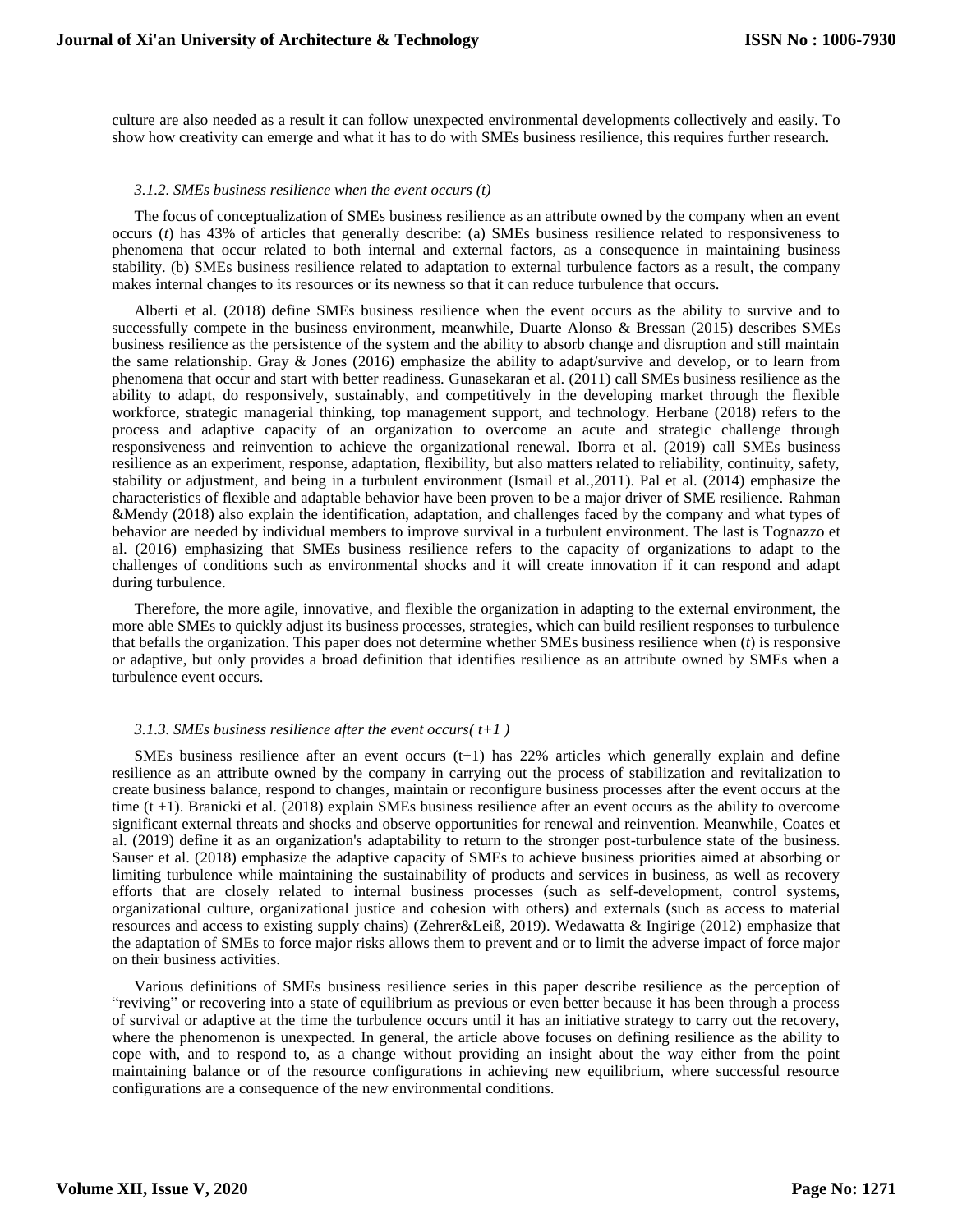culture are also needed as a result it can follow unexpected environmental developments collectively and easily. To show how creativity can emerge and what it has to do with SMEs business resilience, this requires further research.

## *3.1.2. SMEs business resilience when the event occurs (t)*

The focus of conceptualization of SMEs business resilience as an attribute owned by the company when an event occurs (*t*) has 43% of articles that generally describe: (a) SMEs business resilience related to responsiveness to phenomena that occur related to both internal and external factors, as a consequence in maintaining business stability. (b) SMEs business resilience related to adaptation to external turbulence factors as a result, the company makes internal changes to its resources or its newness so that it can reduce turbulence that occurs.

Alberti et al. (2018) define SMEs business resilience when the event occurs as the ability to survive and to successfully compete in the business environment, meanwhile, Duarte Alonso & Bressan (2015) describes SMEs business resilience as the persistence of the system and the ability to absorb change and disruption and still maintain the same relationship. Gray & Jones (2016) emphasize the ability to adapt/survive and develop, or to learn from phenomena that occur and start with better readiness. Gunasekaran et al. (2011) call SMEs business resilience as the ability to adapt, do responsively, sustainably, and competitively in the developing market through the flexible workforce, strategic managerial thinking, top management support, and technology. Herbane (2018) refers to the process and adaptive capacity of an organization to overcome an acute and strategic challenge through responsiveness and reinvention to achieve the organizational renewal. Iborra et al. (2019) call SMEs business resilience as an experiment, response, adaptation, flexibility, but also matters related to reliability, continuity, safety, stability or adjustment, and being in a turbulent environment (Ismail et al.,2011). Pal et al. (2014) emphasize the characteristics of flexible and adaptable behavior have been proven to be a major driver of SME resilience. Rahman &Mendy (2018) also explain the identification, adaptation, and challenges faced by the company and what types of behavior are needed by individual members to improve survival in a turbulent environment. The last is Tognazzo et al. (2016) emphasizing that SMEs business resilience refers to the capacity of organizations to adapt to the challenges of conditions such as environmental shocks and it will create innovation if it can respond and adapt during turbulence.

Therefore, the more agile, innovative, and flexible the organization in adapting to the external environment, the more able SMEs to quickly adjust its business processes, strategies, which can build resilient responses to turbulence that befalls the organization. This paper does not determine whether SMEs business resilience when (*t*) is responsive or adaptive, but only provides a broad definition that identifies resilience as an attribute owned by SMEs when a turbulence event occurs.

#### *3.1.3. SMEs business resilience after the event occurs( t+1 )*

SMEs business resilience after an event occurs  $(t+1)$  has 22% articles which generally explain and define resilience as an attribute owned by the company in carrying out the process of stabilization and revitalization to create business balance, respond to changes, maintain or reconfigure business processes after the event occurs at the time  $(t + 1)$ . Branicki et al. (2018) explain SMEs business resilience after an event occurs as the ability to overcome significant external threats and shocks and observe opportunities for renewal and reinvention. Meanwhile, Coates et al. (2019) define it as an organization's adaptability to return to the stronger post-turbulence state of the business. Sauser et al. (2018) emphasize the adaptive capacity of SMEs to achieve business priorities aimed at absorbing or limiting turbulence while maintaining the sustainability of products and services in business, as well as recovery efforts that are closely related to internal business processes (such as self-development, control systems, organizational culture, organizational justice and cohesion with others) and externals (such as access to material resources and access to existing supply chains) (Zehrer&Leiß, 2019). Wedawatta & Ingirige (2012) emphasize that the adaptation of SMEs to force major risks allows them to prevent and or to limit the adverse impact of force major on their business activities.

Various definitions of SMEs business resilience series in this paper describe resilience as the perception of "reviving" or recovering into a state of equilibrium as previous or even better because it has been through a process of survival or adaptive at the time the turbulence occurs until it has an initiative strategy to carry out the recovery, where the phenomenon is unexpected. In general, the article above focuses on defining resilience as the ability to cope with, and to respond to, as a change without providing an insight about the way either from the point maintaining balance or of the resource configurations in achieving new equilibrium, where successful resource configurations are a consequence of the new environmental conditions.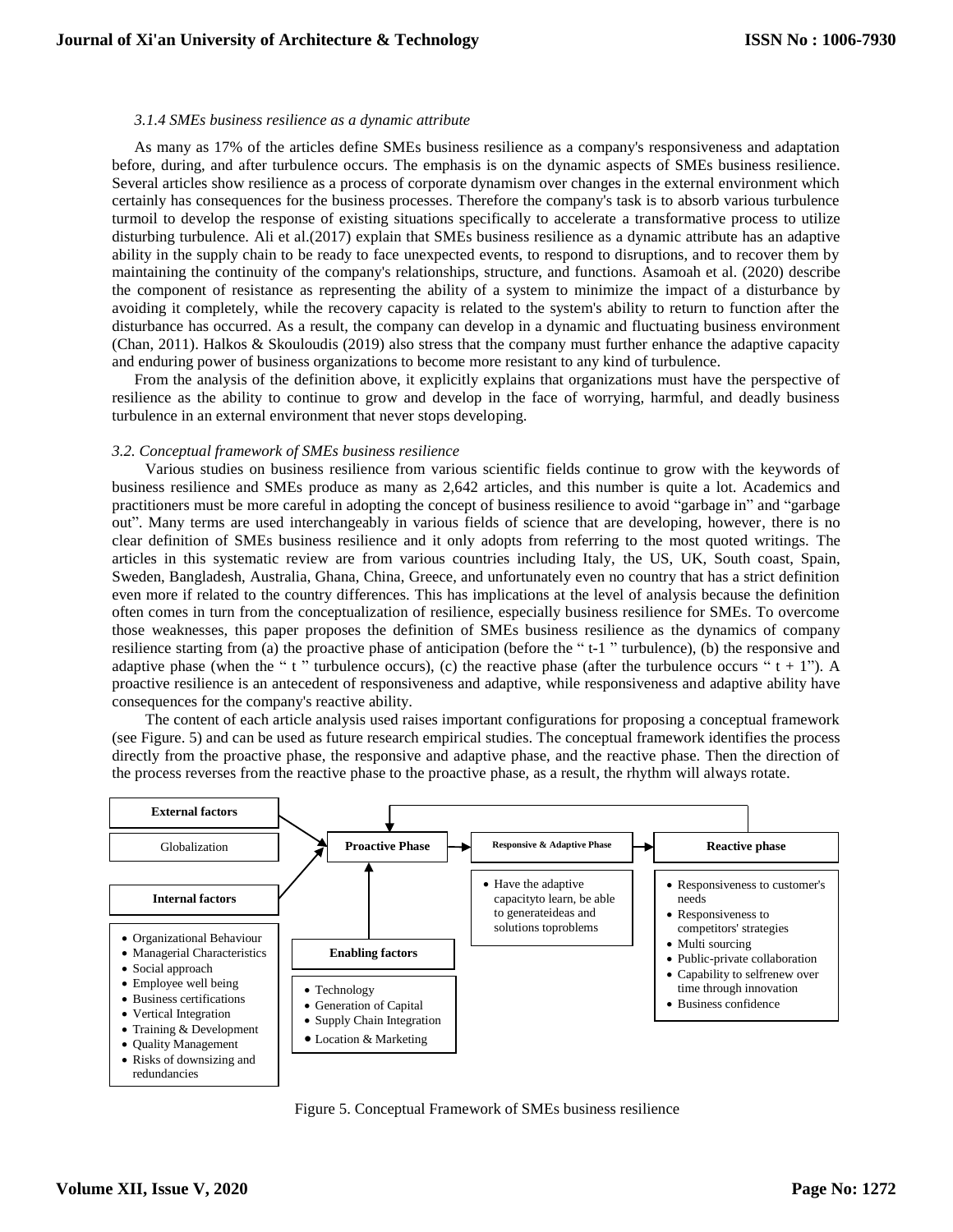## *3.1.4 SMEs business resilience as a dynamic attribute*

As many as 17% of the articles define SMEs business resilience as a company's responsiveness and adaptation before, during, and after turbulence occurs. The emphasis is on the dynamic aspects of SMEs business resilience. Several articles show resilience as a process of corporate dynamism over changes in the external environment which certainly has consequences for the business processes. Therefore the company's task is to absorb various turbulence turmoil to develop the response of existing situations specifically to accelerate a transformative process to utilize disturbing turbulence. Ali et al.(2017) explain that SMEs business resilience as a dynamic attribute has an adaptive ability in the supply chain to be ready to face unexpected events, to respond to disruptions, and to recover them by maintaining the continuity of the company's relationships, structure, and functions. Asamoah et al. (2020) describe the component of resistance as representing the ability of a system to minimize the impact of a disturbance by avoiding it completely, while the recovery capacity is related to the system's ability to return to function after the disturbance has occurred. As a result, the company can develop in a dynamic and fluctuating business environment (Chan, 2011). Halkos & Skouloudis (2019) also stress that the company must further enhance the adaptive capacity and enduring power of business organizations to become more resistant to any kind of turbulence.

From the analysis of the definition above, it explicitly explains that organizations must have the perspective of resilience as the ability to continue to grow and develop in the face of worrying, harmful, and deadly business turbulence in an external environment that never stops developing.

## *3.2. Conceptual framework of SMEs business resilience*

Various studies on business resilience from various scientific fields continue to grow with the keywords of business resilience and SMEs produce as many as 2,642 articles, and this number is quite a lot. Academics and practitioners must be more careful in adopting the concept of business resilience to avoid "garbage in" and "garbage out". Many terms are used interchangeably in various fields of science that are developing, however, there is no clear definition of SMEs business resilience and it only adopts from referring to the most quoted writings. The articles in this systematic review are from various countries including Italy, the US, UK, South coast, Spain, Sweden, Bangladesh, Australia, Ghana, China, Greece, and unfortunately even no country that has a strict definition even more if related to the country differences. This has implications at the level of analysis because the definition often comes in turn from the conceptualization of resilience, especially business resilience for SMEs. To overcome those weaknesses, this paper proposes the definition of SMEs business resilience as the dynamics of company resilience starting from (a) the proactive phase of anticipation (before the " t-1 " turbulence), (b) the responsive and adaptive phase (when the " t " turbulence occurs), (c) the reactive phase (after the turbulence occurs "  $t + 1$ "). A proactive resilience is an antecedent of responsiveness and adaptive, while responsiveness and adaptive ability have consequences for the company's reactive ability.

The content of each article analysis used raises important configurations for proposing a conceptual framework (see Figure. 5) and can be used as future research empirical studies. The conceptual framework identifies the process directly from the proactive phase, the responsive and adaptive phase, and the reactive phase. Then the direction of the process reverses from the reactive phase to the proactive phase, as a result, the rhythm will always rotate.



Figure 5. Conceptual Framework of SMEs business resilience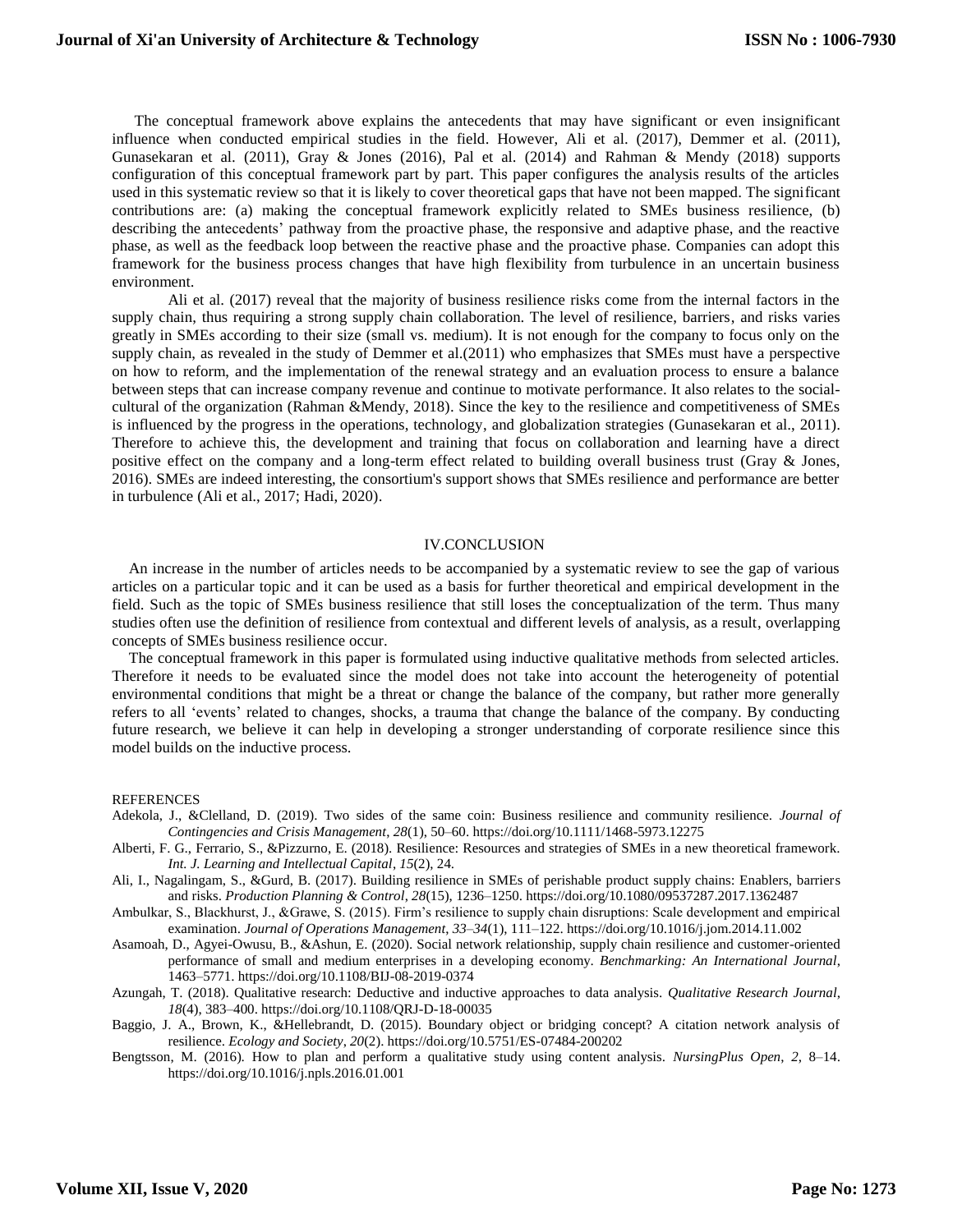The conceptual framework above explains the antecedents that may have significant or even insignificant influence when conducted empirical studies in the field. However, Ali et al. (2017), Demmer et al. (2011), Gunasekaran et al. (2011), Gray & Jones (2016), Pal et al. (2014) and Rahman & Mendy (2018) supports configuration of this conceptual framework part by part. This paper configures the analysis results of the articles used in this systematic review so that it is likely to cover theoretical gaps that have not been mapped. The significant contributions are: (a) making the conceptual framework explicitly related to SMEs business resilience, (b) describing the antecedents' pathway from the proactive phase, the responsive and adaptive phase, and the reactive phase, as well as the feedback loop between the reactive phase and the proactive phase. Companies can adopt this framework for the business process changes that have high flexibility from turbulence in an uncertain business environment.

Ali et al. (2017) reveal that the majority of business resilience risks come from the internal factors in the supply chain, thus requiring a strong supply chain collaboration. The level of resilience, barriers, and risks varies greatly in SMEs according to their size (small vs. medium). It is not enough for the company to focus only on the supply chain, as revealed in the study of Demmer et al.(2011) who emphasizes that SMEs must have a perspective on how to reform, and the implementation of the renewal strategy and an evaluation process to ensure a balance between steps that can increase company revenue and continue to motivate performance. It also relates to the socialcultural of the organization (Rahman &Mendy, 2018). Since the key to the resilience and competitiveness of SMEs is influenced by the progress in the operations, technology, and globalization strategies (Gunasekaran et al., 2011). Therefore to achieve this, the development and training that focus on collaboration and learning have a direct positive effect on the company and a long-term effect related to building overall business trust (Gray & Jones, 2016). SMEs are indeed interesting, the consortium's support shows that SMEs resilience and performance are better in turbulence (Ali et al., 2017; Hadi, 2020).

#### IV.CONCLUSION

An increase in the number of articles needs to be accompanied by a systematic review to see the gap of various articles on a particular topic and it can be used as a basis for further theoretical and empirical development in the field. Such as the topic of SMEs business resilience that still loses the conceptualization of the term. Thus many studies often use the definition of resilience from contextual and different levels of analysis, as a result, overlapping concepts of SMEs business resilience occur.

The conceptual framework in this paper is formulated using inductive qualitative methods from selected articles. Therefore it needs to be evaluated since the model does not take into account the heterogeneity of potential environmental conditions that might be a threat or change the balance of the company, but rather more generally refers to all 'events' related to changes, shocks, a trauma that change the balance of the company. By conducting future research, we believe it can help in developing a stronger understanding of corporate resilience since this model builds on the inductive process.

#### **REFERENCES**

- Adekola, J., &Clelland, D. (2019). Two sides of the same coin: Business resilience and community resilience. *Journal of Contingencies and Crisis Management*, *28*(1), 50–60. https://doi.org/10.1111/1468-5973.12275
- Alberti, F. G., Ferrario, S., &Pizzurno, E. (2018). Resilience: Resources and strategies of SMEs in a new theoretical framework. *Int. J. Learning and Intellectual Capital*, *15*(2), 24.
- Ali, I., Nagalingam, S., &Gurd, B. (2017). Building resilience in SMEs of perishable product supply chains: Enablers, barriers and risks. *Production Planning & Control*, *28*(15), 1236–1250. https://doi.org/10.1080/09537287.2017.1362487
- Ambulkar, S., Blackhurst, J., &Grawe, S. (2015). Firm's resilience to supply chain disruptions: Scale development and empirical examination. *Journal of Operations Management*, *33–34*(1), 111–122. https://doi.org/10.1016/j.jom.2014.11.002
- Asamoah, D., Agyei-Owusu, B., &Ashun, E. (2020). Social network relationship, supply chain resilience and customer-oriented performance of small and medium enterprises in a developing economy. *Benchmarking: An International Journal*, 1463–5771. https://doi.org/10.1108/BIJ-08-2019-0374
- Azungah, T. (2018). Qualitative research: Deductive and inductive approaches to data analysis. *Qualitative Research Journal*, *18*(4), 383–400. https://doi.org/10.1108/QRJ-D-18-00035
- Baggio, J. A., Brown, K., &Hellebrandt, D. (2015). Boundary object or bridging concept? A citation network analysis of resilience. *Ecology and Society*, *20*(2). https://doi.org/10.5751/ES-07484-200202
- Bengtsson, M. (2016). How to plan and perform a qualitative study using content analysis. *NursingPlus Open*, *2*, 8–14. https://doi.org/10.1016/j.npls.2016.01.001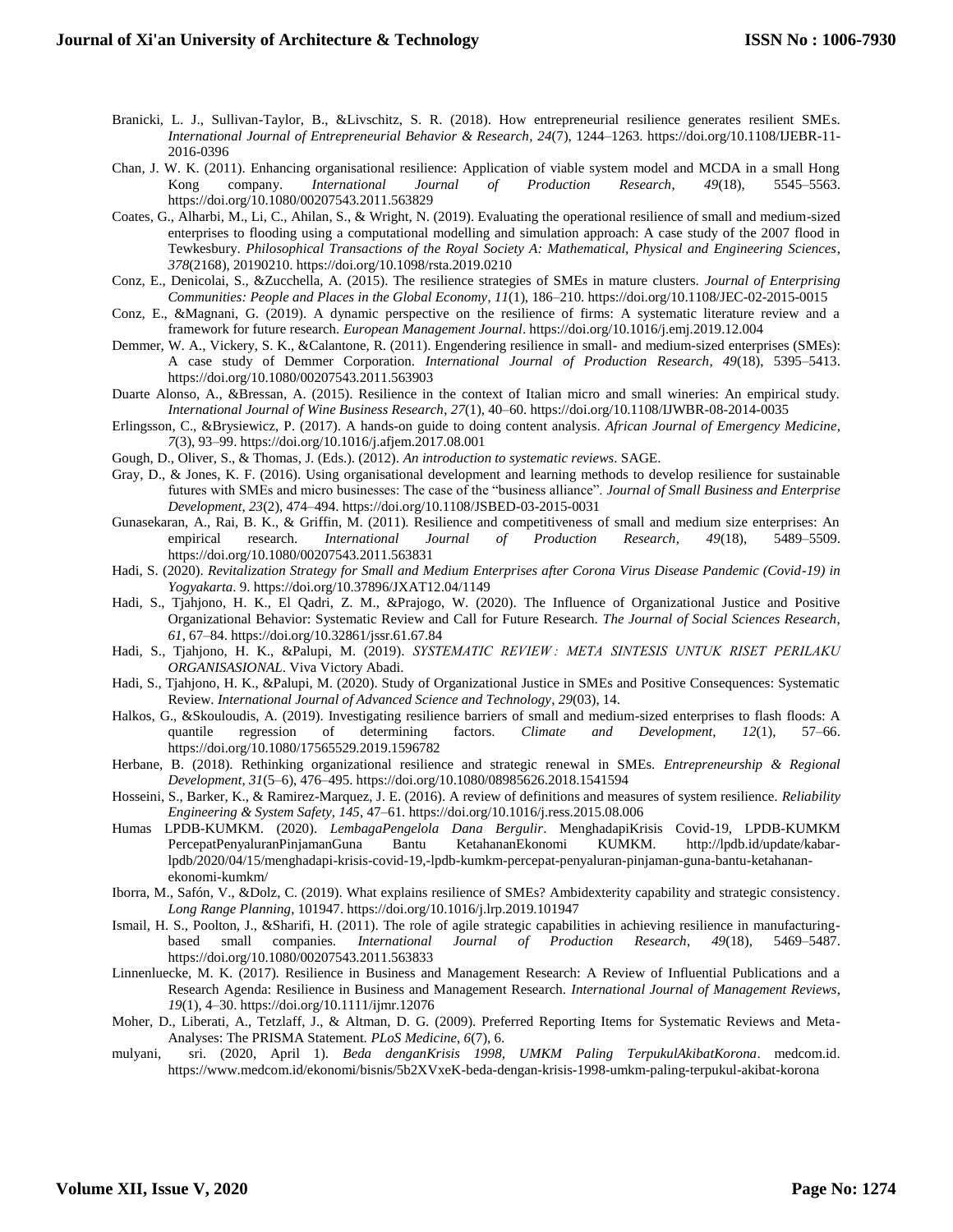- Branicki, L. J., Sullivan-Taylor, B., &Livschitz, S. R. (2018). How entrepreneurial resilience generates resilient SMEs. *International Journal of Entrepreneurial Behavior & Research*, *24*(7), 1244–1263. https://doi.org/10.1108/IJEBR-11- 2016-0396
- Chan, J. W. K. (2011). Enhancing organisational resilience: Application of viable system model and MCDA in a small Hong Kong company. *International Journal of Production Research*, *49*(18), 5545–5563. https://doi.org/10.1080/00207543.2011.563829
- Coates, G., Alharbi, M., Li, C., Ahilan, S., & Wright, N. (2019). Evaluating the operational resilience of small and medium-sized enterprises to flooding using a computational modelling and simulation approach: A case study of the 2007 flood in Tewkesbury. *Philosophical Transactions of the Royal Society A: Mathematical, Physical and Engineering Sciences*, *378*(2168), 20190210. https://doi.org/10.1098/rsta.2019.0210
- Conz, E., Denicolai, S., &Zucchella, A. (2015). The resilience strategies of SMEs in mature clusters. *Journal of Enterprising Communities: People and Places in the Global Economy*, *11*(1), 186–210. https://doi.org/10.1108/JEC-02-2015-0015
- Conz, E., &Magnani, G. (2019). A dynamic perspective on the resilience of firms: A systematic literature review and a framework for future research. *European Management Journal*. https://doi.org/10.1016/j.emj.2019.12.004
- Demmer, W. A., Vickery, S. K., &Calantone, R. (2011). Engendering resilience in small- and medium-sized enterprises (SMEs): A case study of Demmer Corporation. *International Journal of Production Research*, *49*(18), 5395–5413. https://doi.org/10.1080/00207543.2011.563903
- Duarte Alonso, A., &Bressan, A. (2015). Resilience in the context of Italian micro and small wineries: An empirical study. *International Journal of Wine Business Research*, *27*(1), 40–60. https://doi.org/10.1108/IJWBR-08-2014-0035
- Erlingsson, C., &Brysiewicz, P. (2017). A hands-on guide to doing content analysis. *African Journal of Emergency Medicine*, *7*(3), 93–99. https://doi.org/10.1016/j.afjem.2017.08.001
- Gough, D., Oliver, S., & Thomas, J. (Eds.). (2012). *An introduction to systematic reviews*. SAGE.
- Gray, D., & Jones, K. F. (2016). Using organisational development and learning methods to develop resilience for sustainable futures with SMEs and micro businesses: The case of the "business alliance". *Journal of Small Business and Enterprise Development*, *23*(2), 474–494. https://doi.org/10.1108/JSBED-03-2015-0031
- Gunasekaran, A., Rai, B. K., & Griffin, M. (2011). Resilience and competitiveness of small and medium size enterprises: An empirical research. *International Journal of Production Research*, *49*(18), 5489–5509. https://doi.org/10.1080/00207543.2011.563831
- Hadi, S. (2020). *Revitalization Strategy for Small and Medium Enterprises after Corona Virus Disease Pandemic (Covid-19) in Yogyakarta*. 9. https://doi.org/10.37896/JXAT12.04/1149
- Hadi, S., Tjahjono, H. K., El Qadri, Z. M., &Prajogo, W. (2020). The Influence of Organizational Justice and Positive Organizational Behavior: Systematic Review and Call for Future Research. *The Journal of Social Sciences Research*, *61*, 67–84. https://doi.org/10.32861/jssr.61.67.84
- Hadi, S., Tjahjono, H. K., &Palupi, M. (2019). *SYSTEMATIC REVIEW : META SINTESIS UNTUK RISET PERILAKU ORGANISASIONAL*. Viva Victory Abadi.
- Hadi, S., Tjahjono, H. K., &Palupi, M. (2020). Study of Organizational Justice in SMEs and Positive Consequences: Systematic Review. *International Journal of Advanced Science and Technology*, *29*(03), 14.
- Halkos, G., &Skouloudis, A. (2019). Investigating resilience barriers of small and medium-sized enterprises to flash floods: A quantile regression of determining factors. *Climate and Development*, *12*(1), 57–66. https://doi.org/10.1080/17565529.2019.1596782
- Herbane, B. (2018). Rethinking organizational resilience and strategic renewal in SMEs. *Entrepreneurship & Regional Development*, *31*(5–6), 476–495. https://doi.org/10.1080/08985626.2018.1541594
- Hosseini, S., Barker, K., & Ramirez-Marquez, J. E. (2016). A review of definitions and measures of system resilience. *Reliability Engineering & System Safety*, *145*, 47–61. https://doi.org/10.1016/j.ress.2015.08.006
- Humas LPDB-KUMKM. (2020). *LembagaPengelola Dana Bergulir*. MenghadapiKrisis Covid-19, LPDB-KUMKM PercepatPenyaluranPinjamanGuna Bantu KetahananEkonomi KUMKM. http://lpdb.id/update/kabarlpdb/2020/04/15/menghadapi-krisis-covid-19,-lpdb-kumkm-percepat-penyaluran-pinjaman-guna-bantu-ketahananekonomi-kumkm/
- Iborra, M., Safón, V., &Dolz, C. (2019). What explains resilience of SMEs? Ambidexterity capability and strategic consistency. *Long Range Planning*, 101947. https://doi.org/10.1016/j.lrp.2019.101947
- Ismail, H. S., Poolton, J., &Sharifi, H. (2011). The role of agile strategic capabilities in achieving resilience in manufacturingbased small companies. *International Journal of Production Research*, *49*(18), 5469–5487. https://doi.org/10.1080/00207543.2011.563833
- Linnenluecke, M. K. (2017). Resilience in Business and Management Research: A Review of Influential Publications and a Research Agenda: Resilience in Business and Management Research. *International Journal of Management Reviews*, *19*(1), 4–30. https://doi.org/10.1111/ijmr.12076
- Moher, D., Liberati, A., Tetzlaff, J., & Altman, D. G. (2009). Preferred Reporting Items for Systematic Reviews and Meta-Analyses: The PRISMA Statement. *PLoS Medicine*, *6*(7), 6.
- mulyani, sri. (2020, April 1). *Beda denganKrisis 1998, UMKM Paling TerpukulAkibatKorona*. medcom.id. https://www.medcom.id/ekonomi/bisnis/5b2XVxeK-beda-dengan-krisis-1998-umkm-paling-terpukul-akibat-korona